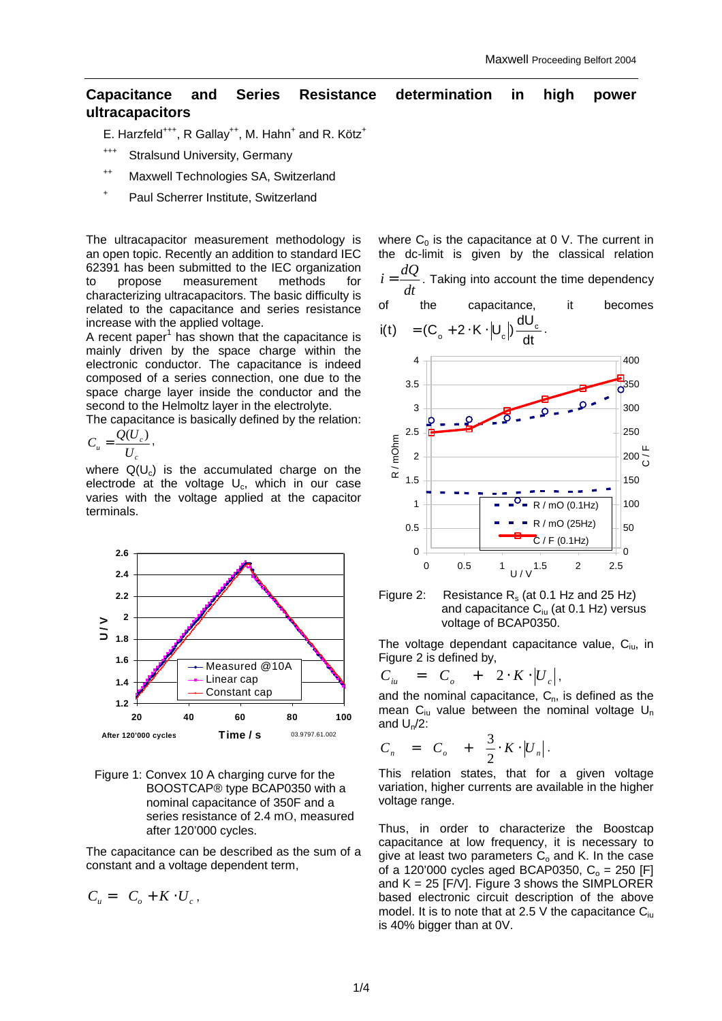# **Capacitance and Series Resistance determination in high power ultracapacitors**

E. Harzfeld<sup>+++</sup>, R Gallay<sup>++</sup>, M. Hahn<sup>+</sup> and R. Kötz<sup>+</sup>

- +++ Stralsund University, Germany
- ++ Maxwell Technologies SA, Switzerland
- + Paul Scherrer Institute, Switzerland

The ultracapacitor measurement methodology is an open topic. Recently an addition to standard IEC 62391 has been submitted to the IEC organization to propose measurement methods for characterizing ultracapacitors. The basic difficulty is related to the capacitance and series resistance increase with the applied voltage.

A recent paper $1$  has shown that the capacitance is mainly driven by the space charge within the electronic conductor. The capacitance is indeed composed of a series connection, one due to the space charge layer inside the conductor and the second to the Helmoltz layer in the electrolyte.

The capacitance is basically defined by the relation:

$$
C_u = \frac{Q(U_c)}{U_c},
$$

where  $Q(U_c)$  is the accumulated charge on the electrode at the voltage  $U_c$ , which in our case varies with the voltage applied at the capacitor terminals.





The capacitance can be described as the sum of a constant and a voltage dependent term,

$$
C_u = C_o + K \cdot U_c,
$$

where  $C_0$  is the capacitance at 0 V. The current in the dc-limit is given by the classical relation *dt*  $i = \frac{dQ}{dt}$ . Taking into account the time dependency of the capacitance, it becomes  $i(t) = (C_{o} + 2 \cdot K \cdot |U_{c}|) \frac{dU_{c}}{dt}.$ 

dt

$$
(1) = (C_0 + Z \cdot R \cdot |U|)
$$



# Figure 2: Resistance  $R_s$  (at 0.1 Hz and 25 Hz) and capacitance  $C_{\text{in}}$  (at 0.1 Hz) versus voltage of BCAP0350.

The voltage dependant capacitance value,  $C_{\text{iu}}$ , in Figure 2 is defined by,

$$
C_{iu} = C_o + 2 \cdot K \cdot |U_c|,
$$

and the nominal capacitance,  $C_n$ , is defined as the mean  $C_{\text{in}}$  value between the nominal voltage  $U_{\text{n}}$ and  $U_n/2$ :

$$
C_n = C_o + \frac{3}{2} \cdot K \cdot |U_n|.
$$

This relation states, that for a given voltage variation, higher currents are available in the higher voltage range.

Thus, in order to characterize the Boostcap capacitance at low frequency, it is necessary to give at least two parameters  $C_0$  and K. In the case of a 120'000 cycles aged BCAP0350,  $C_0 = 250$  [F] and  $K = 25$  [F/V]. Figure 3 shows the SIMPLORER based electronic circuit description of the above model. It is to note that at 2.5 V the capacitance  $C_{\text{in}}$ is 40% bigger than at 0V.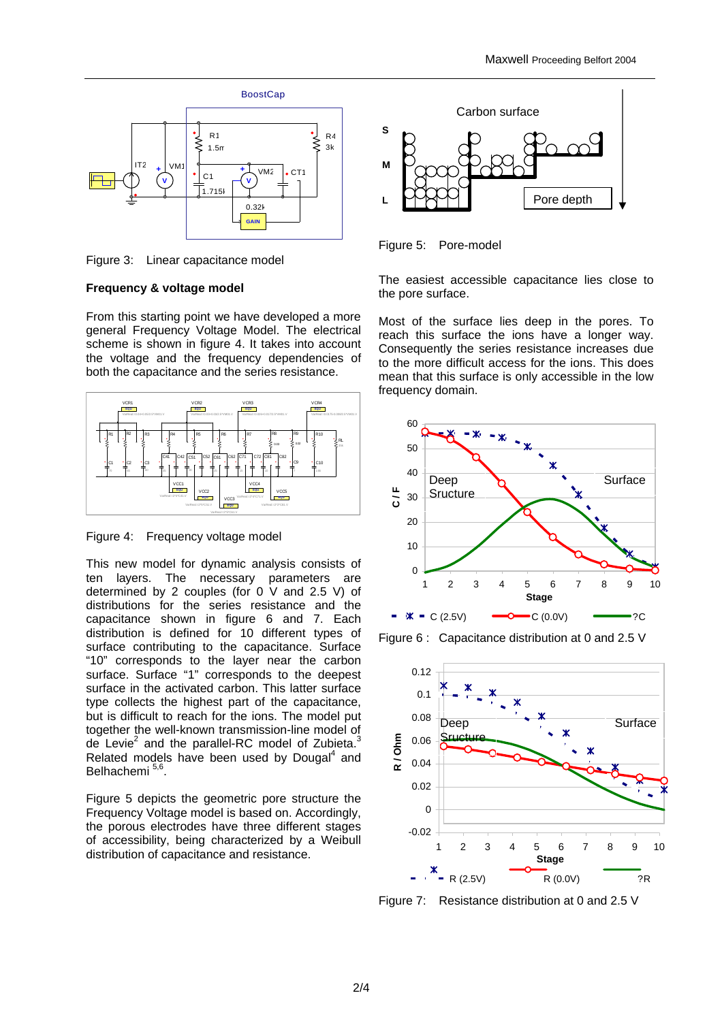

Figure 3: Linear capacitance model

## **Frequency & voltage model**

From this starting point we have developed a more general Frequency Voltage Model. The electrical scheme is shown in figure 4. It takes into account the voltage and the frequency dependencies of both the capacitance and the series resistance.



Figure 4: Frequency voltage model

This new model for dynamic analysis consists of ten layers. The necessary parameters are determined by 2 couples (for 0 V and 2.5 V) of distributions for the series resistance and the capacitance shown in figure 6 and 7. Each distribution is defined for 10 different types of surface contributing to the capacitance. Surface "10" corresponds to the layer near the carbon surface. Surface "1" corresponds to the deepest surface in the activated carbon. This latter surface type collects the highest part of the capacitance, but is difficult to reach for the ions. The model put together the well-known transmission-line model of de Levie<sup>2</sup> and the parallel-RC model of Zubieta.<sup>3</sup> Related models have been used by Dougal $4$  and Belhachemi<sup>5,6</sup> .

Figure 5 depicts the geometric pore structure the Frequency Voltage model is based on. Accordingly, the porous electrodes have three different stages of accessibility, being characterized by a Weibull distribution of capacitance and resistance.



Figure 5: Pore-model

The easiest accessible capacitance lies close to the pore surface.

Most of the surface lies deep in the pores. To reach this surface the ions have a longer way. Consequently the series resistance increases due to the more difficult access for the ions. This does mean that this surface is only accessible in the low frequency domain.



Figure 6 : Capacitance distribution at 0 and 2.5 V



Figure 7: Resistance distribution at 0 and 2.5 V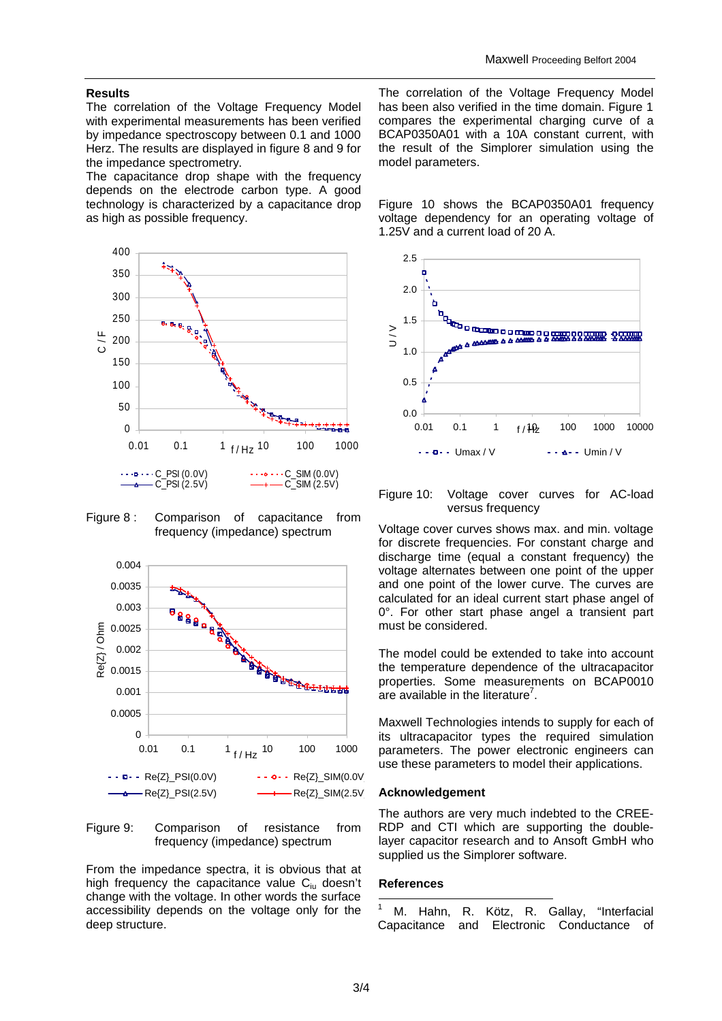# **Results**

The correlation of the Voltage Frequency Model with experimental measurements has been verified by impedance spectroscopy between 0.1 and 1000 Herz. The results are displayed in figure 8 and 9 for the impedance spectrometry.

The capacitance drop shape with the frequency depends on the electrode carbon type. A good technology is characterized by a capacitance drop as high as possible frequency.



Figure 8: Comparison of capacitance from frequency (impedance) spectrum



Figure 9: Comparison of resistance from frequency (impedance) spectrum

From the impedance spectra, it is obvious that at high frequency the capacitance value C<sub>iu</sub> doesn't change with the voltage. In other words the surface accessibility depends on the voltage only for the deep structure.

The correlation of the Voltage Frequency Model has been also verified in the time domain. Figure 1 compares the experimental charging curve of a BCAP0350A01 with a 10A constant current, with the result of the Simplorer simulation using the model parameters.

Figure 10 shows the BCAP0350A01 frequency voltage dependency for an operating voltage of 1.25V and a current load of 20 A.



### Figure 10: Voltage cover curves for AC-load versus frequency

Voltage cover curves shows max. and min. voltage for discrete frequencies. For constant charge and discharge time (equal a constant frequency) the voltage alternates between one point of the upper and one point of the lower curve. The curves are calculated for an ideal current start phase angel of 0°. For other start phase angel a transient part must be considered.

The model could be extended to take into account the temperature dependence of the ultracapacitor properties. Some measurements on BCAP0010 are available in the literature<sup>7</sup>.

Maxwell Technologies intends to supply for each of its ultracapacitor types the required simulation parameters. The power electronic engineers can use these parameters to model their applications.

#### **Acknowledgement**

The authors are very much indebted to the CREE-RDP and CTI which are supporting the doublelayer capacitor research and to Ansoft GmbH who supplied us the Simplorer software.

#### **References**

l 1 M. Hahn, R. Kötz, R. Gallay, "Interfacial Capacitance and Electronic Conductance of